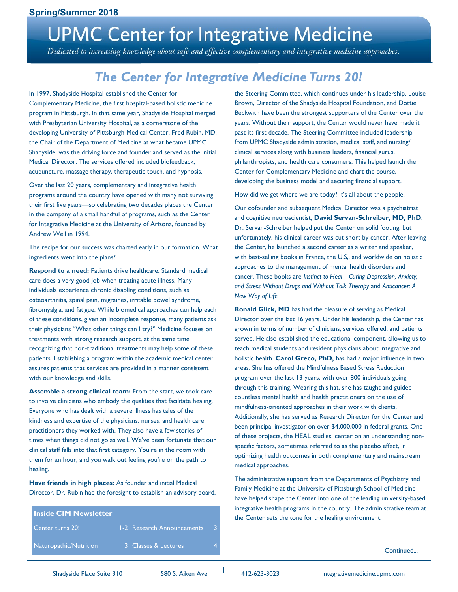# **UPMC Center for Integrative Medicine**

Dedicated to increasing knowledge about safe and effective complementary and integrative medicine approaches.

## *The Center for Integrative Medicine Turns 20!*

In 1997, Shadyside Hospital established the Center for Complementary Medicine, the first hospital-based holistic medicine program in Pittsburgh. In that same year, Shadyside Hospital merged with Presbyterian University Hospital, as a cornerstone of the developing University of Pittsburgh Medical Center. Fred Rubin, MD, the Chair of the Department of Medicine at what became UPMC Shadyside, was the driving force and founder and served as the initial Medical Director. The services offered included biofeedback, acupuncture, massage therapy, therapeutic touch, and hypnosis.

Over the last 20 years, complementary and integrative health programs around the country have opened with many not surviving their first five years—so celebrating two decades places the Center in the company of a small handful of programs, such as the Center for Integrative Medicine at the University of Arizona, founded by Andrew Weil in 1994.

The recipe for our success was charted early in our formation. What ingredients went into the plans?

**Respond to a need:** Patients drive healthcare. Standard medical care does a very good job when treating acute illness. Many individuals experience chronic disabling conditions, such as osteoarthritis, spinal pain, migraines, irritable bowel syndrome, fibromyalgia, and fatigue. While biomedical approaches can help each of these conditions, given an incomplete response, many patients ask their physicians "What other things can I try?" Medicine focuses on treatments with strong research support, at the same time recognizing that non-traditional treatments may help some of these patients. Establishing a program within the academic medical center assures patients that services are provided in a manner consistent with our knowledge and skills.

**Assemble a strong clinical team:** From the start, we took care to involve clinicians who embody the qualities that facilitate healing. Everyone who has dealt with a severe illness has tales of the kindness and expertise of the physicians, nurses, and health care practitioners they worked with. They also have a few stories of times when things did not go as well. We've been fortunate that our clinical staff falls into that first category. You're in the room with them for an hour, and you walk out feeling you're on the path to healing.

**Have friends in high places:** As founder and initial Medical Director, Dr. Rubin had the foresight to establish an advisory board,

**Inside CIM Newsletter** Center turns 20! 1-2 Research Announcements Naturopathic/Nutrition 3 Classes & Lectures

the Steering Committee, which continues under his leadership. Louise Brown, Director of the Shadyside Hospital Foundation, and Dottie Beckwith have been the strongest supporters of the Center over the years. Without their support, the Center would never have made it past its first decade. The Steering Committee included leadership from UPMC Shadyside administration, medical staff, and nursing/ clinical services along with business leaders, financial gurus, philanthropists, and health care consumers. This helped launch the Center for Complementary Medicine and chart the course, developing the business model and securing financial support.

How did we get where we are today? It's all about the people.

Our cofounder and subsequent Medical Director was a psychiatrist and cognitive neuroscientist, **David Servan-Schreiber, MD, PhD**. Dr. Servan-Schreiber helped put the Center on solid footing, but unfortunately, his clinical career was cut short by cancer. After leaving the Center, he launched a second career as a writer and speaker, with best-selling books in France, the U.S,, and worldwide on holistic approaches to the management of mental health disorders and cancer. These books are *Instinct to Heal—Curing Depression, Anxiety, and Stress Without Drugs and Without Talk Therapy* and *Anticancer: A New Way of Life.*

**Ronald Glick, MD** has had the pleasure of serving as Medical Director over the last 16 years. Under his leadership, the Center has grown in terms of number of clinicians, services offered, and patients served. He also established the educational component, allowing us to teach medical students and resident physicians about integrative and holistic health. **Carol Greco, PhD,** has had a major influence in two areas. She has offered the Mindfulness Based Stress Reduction program over the last 13 years, with over 800 individuals going through this training. Wearing this hat, she has taught and guided countless mental health and health practitioners on the use of mindfulness-oriented approaches in their work with clients. Additionally, she has served as Research Director for the Center and been principal investigator on over \$4,000,000 in federal grants. One of these projects, the HEAL studies, center on an understanding nonspecific factors, sometimes referred to as the placebo effect, in optimizing health outcomes in both complementary and mainstream medical approaches.

The administrative support from the Departments of Psychiatry and Family Medicine at the University of Pittsburgh School of Medicine have helped shape the Center into one of the leading university-based integrative health programs in the country. The administrative team at the Center sets the tone for the healing environment.

Continued...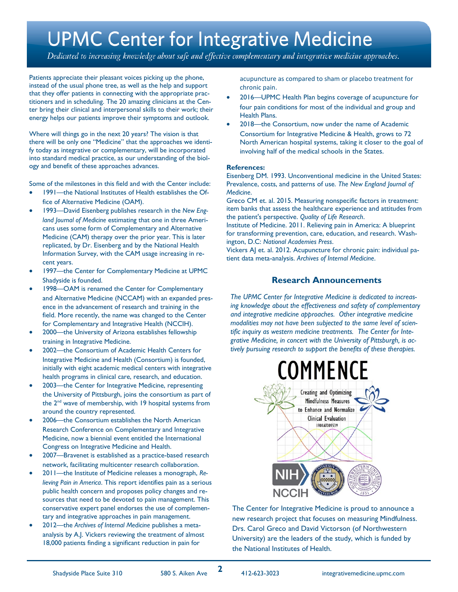## **UPMC Center for Integrative Medicine**

Dedicated to increasing knowledge about safe and effective complementary and integrative medicine approaches.

Patients appreciate their pleasant voices picking up the phone, instead of the usual phone tree, as well as the help and support that they offer patients in connecting with the appropriate practitioners and in scheduling. The 20 amazing clinicians at the Center bring their clinical and interpersonal skills to their work; their energy helps our patients improve their symptoms and outlook.

Where will things go in the next 20 years? The vision is that there will be only one "Medicine" that the approaches we identify today as integrative or complementary, will be incorporated into standard medical practice, as our understanding of the biology and benefit of these approaches advances.

Some of the milestones in this field and with the Center include:

- 1991—the National Institutes of Health establishes the Office of Alternative Medicine (OAM).
- 1993—David Eisenberg publishes research in the *New England Journal of Medicine* estimating that one in three Americans uses some form of Complementary and Alternative Medicine (CAM) therapy over the prior year. This is later replicated, by Dr. Eisenberg and by the National Health Information Survey, with the CAM usage increasing in recent years.
- 1997—the Center for Complementary Medicine at UPMC Shadyside is founded.
- 1998—OAM is renamed the Center for Complementary and Alternative Medicine (NCCAM) with an expanded presence in the advancement of research and training in the field. More recently, the name was changed to the Center for Complementary and Integrative Health (NCCIH).
- 2000—the University of Arizona establishes fellowship training in Integrative Medicine.
- 2002—the Consortium of Academic Health Centers for Integrative Medicine and Health (Consortium) is founded, initially with eight academic medical centers with integrative health programs in clinical care, research, and education.
- 2003—the Center for Integrative Medicine, representing the University of Pittsburgh, joins the consortium as part of the 2<sup>nd</sup> wave of membership, with 19 hospital systems from around the country represented.
- 2006—the Consortium establishes the North American Research Conference on Complementary and Integrative Medicine, now a biennial event entitled the International Congress on Integrative Medicine and Health.
- 2007—Bravenet is established as a practice-based research network, facilitating multicenter research collaboration.
- 2011—the Institute of Medicine releases a monograph, *Relieving Pain in America*. This report identifies pain as a serious public health concern and proposes policy changes and resources that need to be devoted to pain management. This conservative expert panel endorses the use of complementary and integrative approaches in pain management.
- 2012—the *Archives of Internal Medicine* publishes a metaanalysis by A.J. Vickers reviewing the treatment of almost 18,000 patients finding a significant reduction in pain for

acupuncture as compared to sham or placebo treatment for chronic pain.

- 2016—UPMC Health Plan begins coverage of acupuncture for four pain conditions for most of the individual and group and Health Plans.
- 2018—the Consortium, now under the name of Academic Consortium for Integrative Medicine & Health, grows to 72 North American hospital systems, taking it closer to the goal of involving half of the medical schools in the States.

#### **References:**

Eisenberg DM. 1993. Unconventional medicine in the United States: Prevalence, costs, and patterns of use. *The New England Journal of Medicine*.

Greco CM et. al. 2015. Measuring nonspecific factors in treatment: item banks that assess the healthcare experience and attitudes from the patient's perspective. *Quality of Life Research*.

Institute of Medicine. 2011. Relieving pain in America: A blueprint for transforming prevention, care, education, and research. Washington, D.C: *National Academies Press*.

Vickers AJ et. al. 2012. Acupuncture for chronic pain: individual patient data meta-analysis. *Archives of Internal Medicine*.

#### **Research Announcements**

*The UPMC Center for Integrative Medicine is dedicated to increasing knowledge about the effectiveness and safety of complementary and integrative medicine approaches. Other integrative medicine modalities may not have been subjected to the same level of scientific inquiry as western medicine treatments. The Center for Integrative Medicine, in concert with the University of Pittsburgh, is actively pursuing research to support the benefits of these therapies.*



The Center for Integrative Medicine is proud to announce a new research project that focuses on measuring Mindfulness. Drs. Carol Greco and David Victorson (of Northwestern University) are the leaders of the study, which is funded by the National Institutes of Health.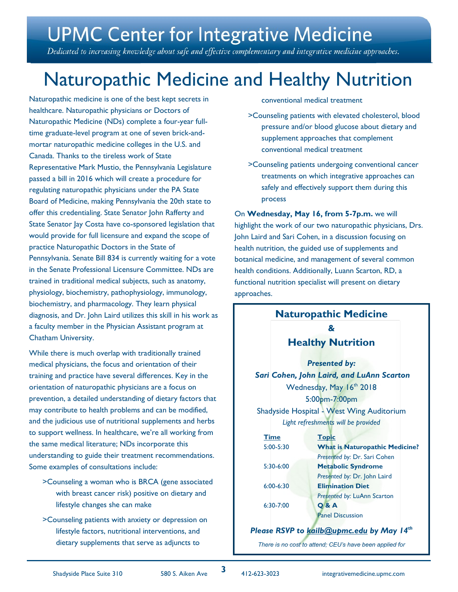# **UPMC Center for Integrative Medicine**

Dedicated to increasing knowledge about safe and effective complementary and integrative medicine approaches.

## Naturopathic Medicine and Healthy Nutrition

Naturopathic medicine is one of the best kept secrets in healthcare. Naturopathic physicians or Doctors of Naturopathic Medicine (NDs) complete a four-year fulltime graduate-level program at one of seven brick-andmortar naturopathic medicine colleges in the U.S. and Canada. Thanks to the tireless work of State Representative Mark Mustio, the Pennsylvania Legislature passed a bill in 2016 which will create a procedure for regulating naturopathic physicians under the PA State Board of Medicine, making Pennsylvania the 20th state to offer this credentialing. State Senator John Rafferty and State Senator Jay Costa have co-sponsored legislation that would provide for full licensure and expand the scope of practice Naturopathic Doctors in the State of Pennsylvania. Senate Bill 834 is currently waiting for a vote in the Senate Professional Licensure Committee. NDs are trained in traditional medical subjects, such as anatomy, physiology, biochemistry, pathophysiology, immunology, biochemistry, and pharmacology. They learn physical diagnosis, and Dr. John Laird utilizes this skill in his work as a faculty member in the Physician Assistant program at Chatham University.

While there is much overlap with traditionally trained medical physicians, the focus and orientation of their training and practice have several differences. Key in the orientation of naturopathic physicians are a focus on prevention, a detailed understanding of dietary factors that may contribute to health problems and can be modified, and the judicious use of nutritional supplements and herbs to support wellness. In healthcare, we're all working from the same medical literature; NDs incorporate this understanding to guide their treatment recommendations. Some examples of consultations include:

- >Counseling a woman who is BRCA (gene associated with breast cancer risk) positive on dietary and lifestyle changes she can make
- >Counseling patients with anxiety or depression on lifestyle factors, nutritional interventions, and dietary supplements that serve as adjuncts to

conventional medical treatment

- >Counseling patients with elevated cholesterol, blood pressure and/or blood glucose about dietary and supplement approaches that complement conventional medical treatment
- >Counseling patients undergoing conventional cancer treatments on which integrative approaches can safely and effectively support them during this process

On **Wednesday, May 16, from 5-7p.m.** we will highlight the work of our two naturopathic physicians, Drs. John Laird and Sari Cohen, in a discussion focusing on health nutrition, the guided use of supplements and botanical medicine, and management of several common health conditions. Additionally, Luann Scarton, RD, a functional nutrition specialist will present on dietary approaches.

#### **Naturopathic Medicine & Healthy Nutrition**

*Presented by: Sari Cohen, John Laird, and LuAnn Scarton* Wednesday, May 16th 2018 5:00pm-7:00pm Shadyside Hospital - West Wing Auditorium *Light refreshments will be provided*

| <b>Time</b>   | <b>Topic</b>                          |
|---------------|---------------------------------------|
| $5:00 - 5:30$ | <b>What is Naturopathic Medicine?</b> |
|               | Presented by: Dr. Sari Cohen          |
| 5:30-6:00     | <b>Metabolic Syndrome</b>             |
|               | Presented by: Dr. John Laird          |
| $6:00 - 6:30$ | <b>Elimination Diet</b>               |
|               | Presented by: LuAnn Scarton           |
| $6:30 - 7:00$ | <b>Q&amp;A</b>                        |
|               | <b>Panel Discussion</b>               |
|               |                                       |

#### *Please RSVP to [kailb@upmc.edu](mailto:kailb@upmc.edu) by May 14th*

*There is no cost to attend; CEU's have been applied for*